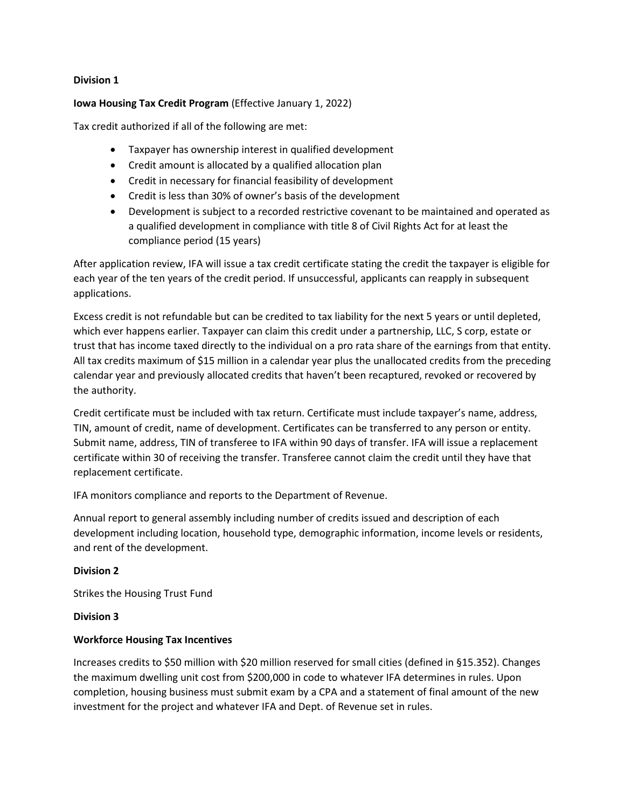# **Division 1**

**Iowa Housing Tax Credit Program** (Effective January 1, 2022)

Tax credit authorized if all of the following are met:

- Taxpayer has ownership interest in qualified development
- Credit amount is allocated by a qualified allocation plan
- Credit in necessary for financial feasibility of development
- Credit is less than 30% of owner's basis of the development
- Development is subject to a recorded restrictive covenant to be maintained and operated as a qualified development in compliance with title 8 of Civil Rights Act for at least the compliance period (15 years)

After application review, IFA will issue a tax credit certificate stating the credit the taxpayer is eligible for each year of the ten years of the credit period. If unsuccessful, applicants can reapply in subsequent applications.

Excess credit is not refundable but can be credited to tax liability for the next 5 years or until depleted, which ever happens earlier. Taxpayer can claim this credit under a partnership, LLC, S corp, estate or trust that has income taxed directly to the individual on a pro rata share of the earnings from that entity. All tax credits maximum of \$15 million in a calendar year plus the unallocated credits from the preceding calendar year and previously allocated credits that haven't been recaptured, revoked or recovered by the authority.

Credit certificate must be included with tax return. Certificate must include taxpayer's name, address, TIN, amount of credit, name of development. Certificates can be transferred to any person or entity. Submit name, address, TIN of transferee to IFA within 90 days of transfer. IFA will issue a replacement certificate within 30 of receiving the transfer. Transferee cannot claim the credit until they have that replacement certificate.

IFA monitors compliance and reports to the Department of Revenue.

Annual report to general assembly including number of credits issued and description of each development including location, household type, demographic information, income levels or residents, and rent of the development.

# **Division 2**

Strikes the Housing Trust Fund

# **Division 3**

# **Workforce Housing Tax Incentives**

Increases credits to \$50 million with \$20 million reserved for small cities (defined in §15.352). Changes the maximum dwelling unit cost from \$200,000 in code to whatever IFA determines in rules. Upon completion, housing business must submit exam by a CPA and a statement of final amount of the new investment for the project and whatever IFA and Dept. of Revenue set in rules.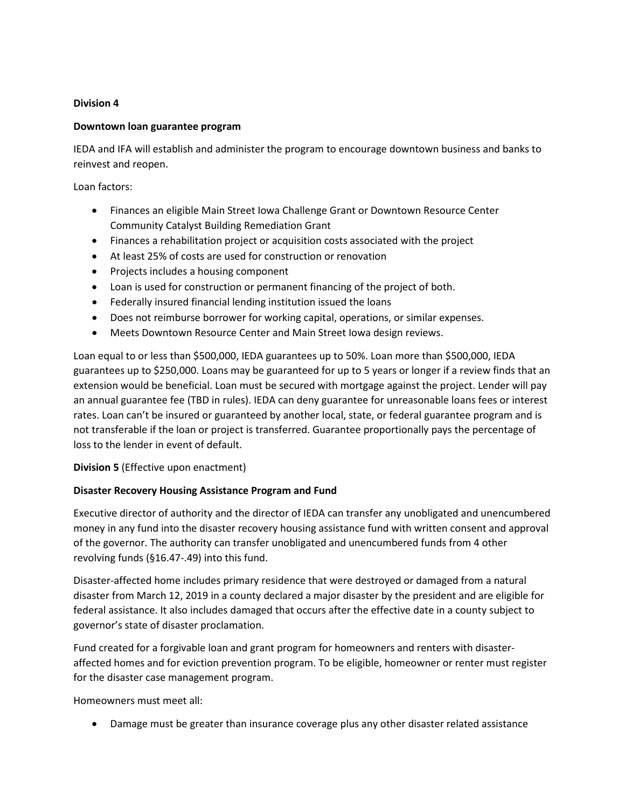# **Division 4**

# **Downtown loan guarantee program**

IEDA and IFA will establish and administer the program to encourage downtown business and banks to reinvest and reopen.

Loan factors:

- Finances an eligible Main Street Iowa Challenge Grant or Downtown Resource Center Community Catalyst Building Remediation Grant
- Finances a rehabilitation project or acquisition costs associated with the project
- At least 25% of costs are used for construction or renovation
- Projects includes a housing component
- Loan is used for construction or permanent financing of the project of both.
- Federally insured financial lending institution issued the loans
- Does not reimburse borrower for working capital, operations, or similar expenses.
- Meets Downtown Resource Center and Main Street Iowa design reviews.

Loan equal to or less than \$500,000, IEDA guarantees up to 50%. Loan more than \$500,000, IEDA guarantees up to \$250,000. Loans may be guaranteed for up to 5 years or longer if a review finds that an extension would be beneficial. Loan must be secured with mortgage against the project. Lender will pay an annual guarantee fee (TBD in rules). IEDA can deny guarantee for unreasonable loans fees or interest rates. Loan can't be insured or guaranteed by another local, state, or federal guarantee program and is not transferable if the loan or project is transferred. Guarantee proportionally pays the percentage of loss to the lender in event of default.

**Division 5** (Effective upon enactment)

# **Disaster Recovery Housing Assistance Program and Fund**

Executive director of authority and the director of IEDA can transfer any unobligated and unencumbered money in any fund into the disaster recovery housing assistance fund with written consent and approval of the governor. The authority can transfer unobligated and unencumbered funds from 4 other revolving funds (§16.47-.49) into this fund.

Disaster-affected home includes primary residence that were destroyed or damaged from a natural disaster from March 12, 2019 in a county declared a major disaster by the president and are eligible for federal assistance. It also includes damaged that occurs after the effective date in a county subject to governor's state of disaster proclamation.

Fund created for a forgivable loan and grant program for homeowners and renters with disasteraffected homes and for eviction prevention program. To be eligible, homeowner or renter must register for the disaster case management program.

Homeowners must meet all:

• Damage must be greater than insurance coverage plus any other disaster related assistance